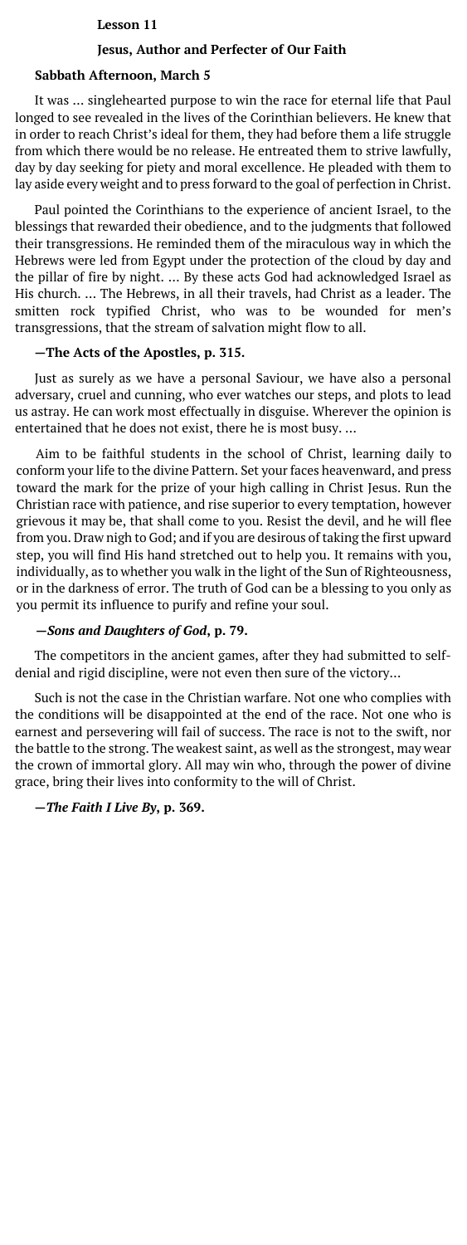# **Lesson 11**

#### **Jesus, Author and Perfecter of Our Faith**

#### **Sabbath Afternoon, March 5**

It was … singlehearted purpose to win the race for eternal life that Paul longed to see revealed in the lives of the Corinthian believers. He knew that in order to reach Christ's ideal for them, they had before them a life struggle from which there would be no release. He entreated them to strive lawfully, day by day seeking for piety and moral excellence. He pleaded with them to lay aside every weight and to press forward to the goal of perfection in Christ.

Paul pointed the Corinthians to the experience of ancient Israel, to the blessings that rewarded their obedience, and to the judgments that followed their transgressions. He reminded them of the miraculous way in which the Hebrews were led from Egypt under the protection of the cloud by day and the pillar of fire by night. … By these acts God had acknowledged Israel as His church. … The Hebrews, in all their travels, had Christ as a leader. The smitten rock typified Christ, who was to be wounded for men's transgressions, that the stream of salvation might flow to all.

#### **—The Acts of the Apostles, p. 315.**

Just as surely as we have a personal Saviour, we have also a personal adversary, cruel and cunning, who ever watches our steps, and plots to lead us astray. He can work most effectually in disguise. Wherever the opinion is entertained that he does not exist, there he is most busy. …

Aim to be faithful students in the school of Christ, learning daily to conform your life to the divine Pattern. Set your faces heavenward, and press toward the mark for the prize of your high calling in Christ Jesus. Run the Christian race with patience, and rise superior to every temptation, however grievous it may be, that shall come to you. Resist the devil, and he will flee from you. Draw nigh to God; and if you are desirous of taking the first upward step, you will find His hand stretched out to help you. It remains with you, individually, as to whether you walk in the light of the Sun of Righteousness, or in the darkness of error. The truth of God can be a blessing to you only as you permit its influence to purify and refine your soul.

#### **—***Sons and Daughters of God***, p. 79.**

The competitors in the ancient games, after they had submitted to selfdenial and rigid discipline, were not even then sure of the victory…

Such is not the case in the Christian warfare. Not one who complies with the conditions will be disappointed at the end of the race. Not one who is earnest and persevering will fail of success. The race is not to the swift, nor the battle to the strong. The weakest saint, as well as the strongest, may wear the crown of immortal glory. All may win who, through the power of divine grace, bring their lives into conformity to the will of Christ.

**—***The Faith I Live By***, p. 369.**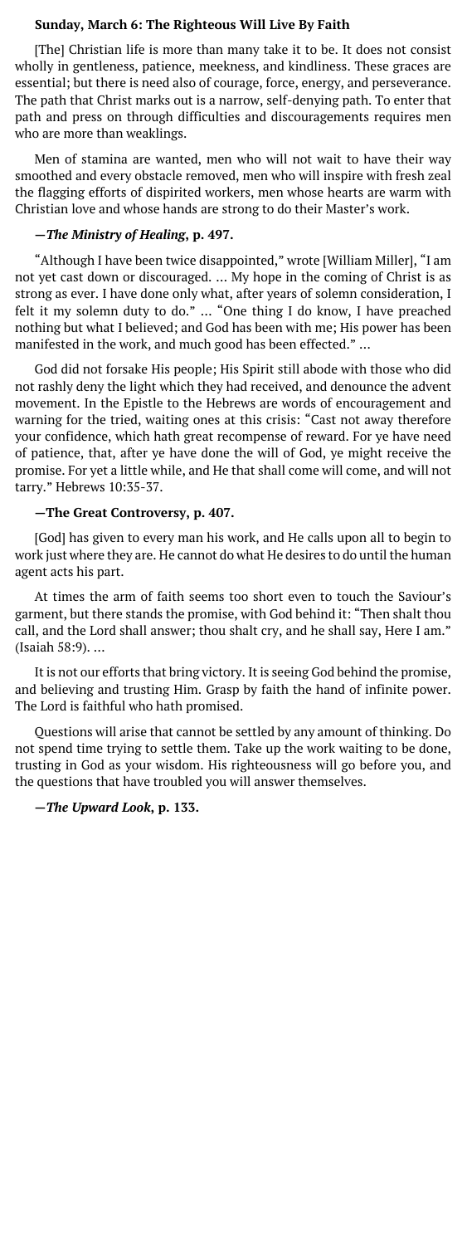# **Sunday, March 6: The Righteous Will Live By Faith**

[The] Christian life is more than many take it to be. It does not consist wholly in gentleness, patience, meekness, and kindliness. These graces are essential; but there is need also of courage, force, energy, and perseverance. The path that Christ marks out is a narrow, self-denying path. To enter that path and press on through difficulties and discouragements requires men who are more than weaklings.

Men of stamina are wanted, men who will not wait to have their way smoothed and every obstacle removed, men who will inspire with fresh zeal the flagging efforts of dispirited workers, men whose hearts are warm with Christian love and whose hands are strong to do their Master's work.

## **—***The Ministry of Healing***, p. 497.**

"Although I have been twice disappointed," wrote [William Miller], "I am not yet cast down or discouraged. … My hope in the coming of Christ is as strong as ever. I have done only what, after years of solemn consideration, I felt it my solemn duty to do." … "One thing I do know, I have preached nothing but what I believed; and God has been with me; His power has been manifested in the work, and much good has been effected." …

God did not forsake His people; His Spirit still abode with those who did not rashly deny the light which they had received, and denounce the advent movement. In the Epistle to the Hebrews are words of encouragement and warning for the tried, waiting ones at this crisis: "Cast not away therefore your confidence, which hath great recompense of reward. For ye have need of patience, that, after ye have done the will of God, ye might receive the promise. For yet a little while, and He that shall come will come, and will not tarry." Hebrews 10:35-37.

#### **—The Great Controversy, p. 407.**

[God] has given to every man his work, and He calls upon all to begin to work just where they are. He cannot do what He desires to do until the human agent acts his part.

At times the arm of faith seems too short even to touch the Saviour's garment, but there stands the promise, with God behind it: "Then shalt thou call, and the Lord shall answer; thou shalt cry, and he shall say, Here I am." (Isaiah 58:9). …

It is not our efforts that bring victory. It is seeing God behind the promise, and believing and trusting Him. Grasp by faith the hand of infinite power. The Lord is faithful who hath promised.

Questions will arise that cannot be settled by any amount of thinking. Do not spend time trying to settle them. Take up the work waiting to be done, trusting in God as your wisdom. His righteousness will go before you, and the questions that have troubled you will answer themselves.

## **—***The Upward Look***, p. 133.**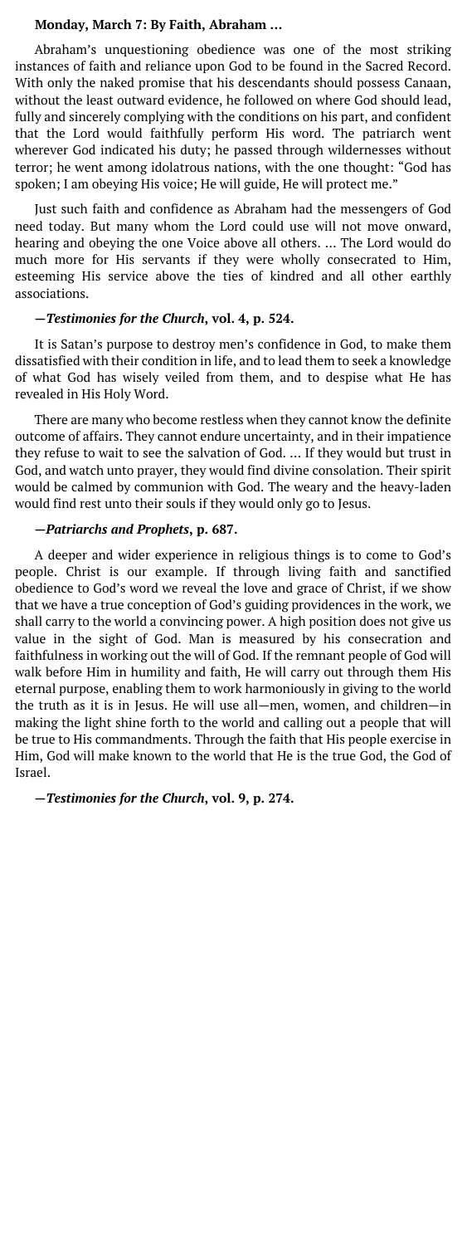#### **Monday, March 7: By Faith, Abraham …**

Abraham's unquestioning obedience was one of the most striking instances of faith and reliance upon God to be found in the Sacred Record. With only the naked promise that his descendants should possess Canaan, without the least outward evidence, he followed on where God should lead, fully and sincerely complying with the conditions on his part, and confident that the Lord would faithfully perform His word. The patriarch went wherever God indicated his duty; he passed through wildernesses without terror; he went among idolatrous nations, with the one thought: "God has spoken; I am obeying His voice; He will guide, He will protect me."

Just such faith and confidence as Abraham had the messengers of God need today. But many whom the Lord could use will not move onward, hearing and obeying the one Voice above all others. … The Lord would do much more for His servants if they were wholly consecrated to Him, esteeming His service above the ties of kindred and all other earthly associations.

# **—***Testimonies for the Church***, vol. 4, p. 524.**

It is Satan's purpose to destroy men's confidence in God, to make them dissatisfied with their condition in life, and to lead them to seek a knowledge of what God has wisely veiled from them, and to despise what He has revealed in His Holy Word.

There are many who become restless when they cannot know the definite outcome of affairs. They cannot endure uncertainty, and in their impatience they refuse to wait to see the salvation of God. … If they would but trust in God, and watch unto prayer, they would find divine consolation. Their spirit would be calmed by communion with God. The weary and the heavy-laden would find rest unto their souls if they would only go to Jesus.

# **—***Patriarchs and Prophets***, p. 687.**

A deeper and wider experience in religious things is to come to God's people. Christ is our example. If through living faith and sanctified obedience to God's word we reveal the love and grace of Christ, if we show that we have a true conception of God's guiding providences in the work, we shall carry to the world a convincing power. A high position does not give us value in the sight of God. Man is measured by his consecration and faithfulness in working out the will of God. If the remnant people of God will walk before Him in humility and faith, He will carry out through them His eternal purpose, enabling them to work harmoniously in giving to the world the truth as it is in Jesus. He will use all—men, women, and children—in making the light shine forth to the world and calling out a people that will be true to His commandments. Through the faith that His people exercise in Him, God will make known to the world that He is the true God, the God of Israel.

**—***Testimonies for the Church***, vol. 9, p. 274.**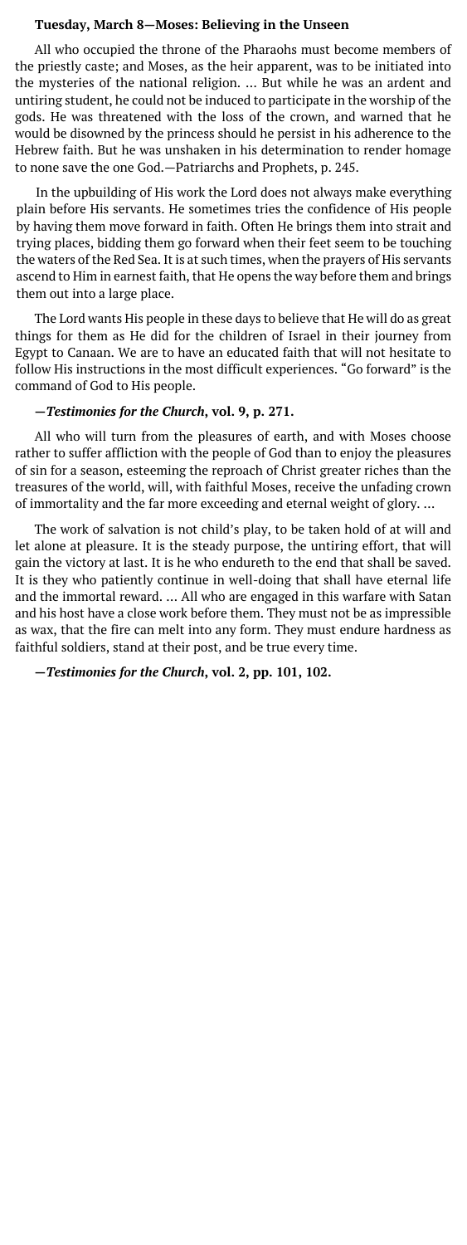#### **Tuesday, March 8—Moses: Believing in the Unseen**

All who occupied the throne of the Pharaohs must become members of the priestly caste; and Moses, as the heir apparent, was to be initiated into the mysteries of the national religion. … But while he was an ardent and untiring student, he could not be induced to participate in the worship of the gods. He was threatened with the loss of the crown, and warned that he would be disowned by the princess should he persist in his adherence to the Hebrew faith. But he was unshaken in his determination to render homage to none save the one God.—Patriarchs and Prophets, p. 245.

In the upbuilding of His work the Lord does not always make everything plain before His servants. He sometimes tries the confidence of His people by having them move forward in faith. Often He brings them into strait and trying places, bidding them go forward when their feet seem to be touching the waters of the Red Sea. It is at such times, when the prayers of His servants ascend to Him in earnest faith, that He opens the way before them and brings them out into a large place.

The Lord wants His people in these days to believe that He will do as great things for them as He did for the children of Israel in their journey from Egypt to Canaan. We are to have an educated faith that will not hesitate to follow His instructions in the most difficult experiences. "Go forward" is the command of God to His people.

#### **—***Testimonies for the Church***, vol. 9, p. 271.**

All who will turn from the pleasures of earth, and with Moses choose rather to suffer affliction with the people of God than to enjoy the pleasures of sin for a season, esteeming the reproach of Christ greater riches than the treasures of the world, will, with faithful Moses, receive the unfading crown of immortality and the far more exceeding and eternal weight of glory. …

The work of salvation is not child's play, to be taken hold of at will and let alone at pleasure. It is the steady purpose, the untiring effort, that will gain the victory at last. It is he who endureth to the end that shall be saved. It is they who patiently continue in well-doing that shall have eternal life and the immortal reward. … All who are engaged in this warfare with Satan and his host have a close work before them. They must not be as impressible as wax, that the fire can melt into any form. They must endure hardness as faithful soldiers, stand at their post, and be true every time.

#### **—***Testimonies for the Church***, vol. 2, pp. 101, 102.**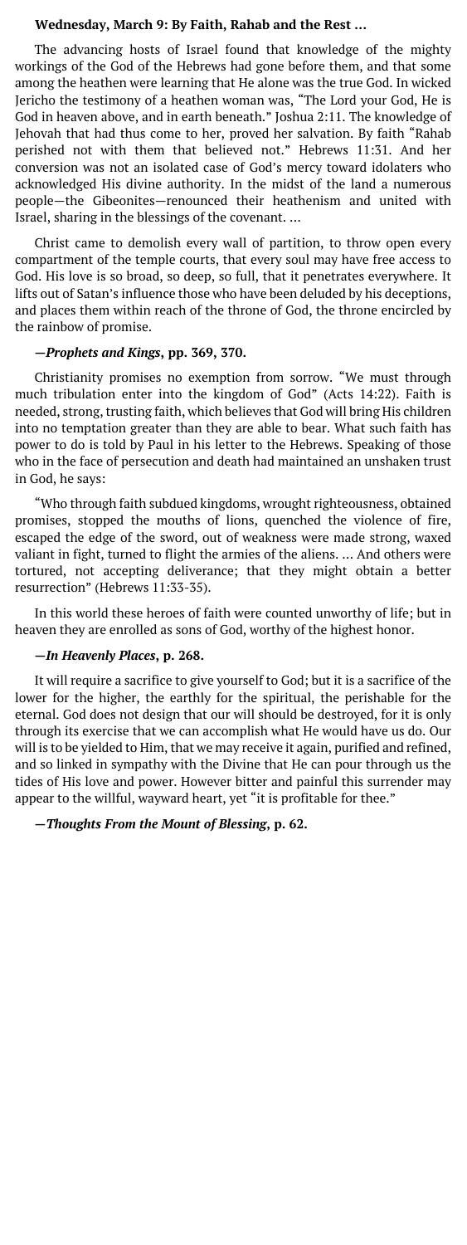## **Wednesday, March 9: By Faith, Rahab and the Rest …**

The advancing hosts of Israel found that knowledge of the mighty workings of the God of the Hebrews had gone before them, and that some among the heathen were learning that He alone was the true God. In wicked Jericho the testimony of a heathen woman was, "The Lord your God, He is God in heaven above, and in earth beneath." Joshua 2:11. The knowledge of Jehovah that had thus come to her, proved her salvation. By faith "Rahab perished not with them that believed not." Hebrews 11:31. And her conversion was not an isolated case of God's mercy toward idolaters who acknowledged His divine authority. In the midst of the land a numerous people—the Gibeonites—renounced their heathenism and united with Israel, sharing in the blessings of the covenant. …

Christ came to demolish every wall of partition, to throw open every compartment of the temple courts, that every soul may have free access to God. His love is so broad, so deep, so full, that it penetrates everywhere. It lifts out of Satan's influence those who have been deluded by his deceptions, and places them within reach of the throne of God, the throne encircled by the rainbow of promise.

## **—***Prophets and Kings***, pp. 369, 370.**

Christianity promises no exemption from sorrow. "We must through much tribulation enter into the kingdom of God" (Acts 14:22). Faith is needed, strong, trusting faith, which believes that God will bring His children into no temptation greater than they are able to bear. What such faith has power to do is told by Paul in his letter to the Hebrews. Speaking of those who in the face of persecution and death had maintained an unshaken trust in God, he says:

"Who through faith subdued kingdoms, wrought righteousness, obtained promises, stopped the mouths of lions, quenched the violence of fire, escaped the edge of the sword, out of weakness were made strong, waxed valiant in fight, turned to flight the armies of the aliens. … And others were tortured, not accepting deliverance; that they might obtain a better resurrection" (Hebrews 11:33-35).

In this world these heroes of faith were counted unworthy of life; but in heaven they are enrolled as sons of God, worthy of the highest honor.

## **—***In Heavenly Places***, p. 268.**

It will require a sacrifice to give yourself to God; but it is a sacrifice of the lower for the higher, the earthly for the spiritual, the perishable for the eternal. God does not design that our will should be destroyed, for it is only through its exercise that we can accomplish what He would have us do. Our will is to be yielded to Him, that we may receive it again, purified and refined, and so linked in sympathy with the Divine that He can pour through us the tides of His love and power. However bitter and painful this surrender may appear to the willful, wayward heart, yet "it is profitable for thee."

## **—***Thoughts From the Mount of Blessing***, p. 62.**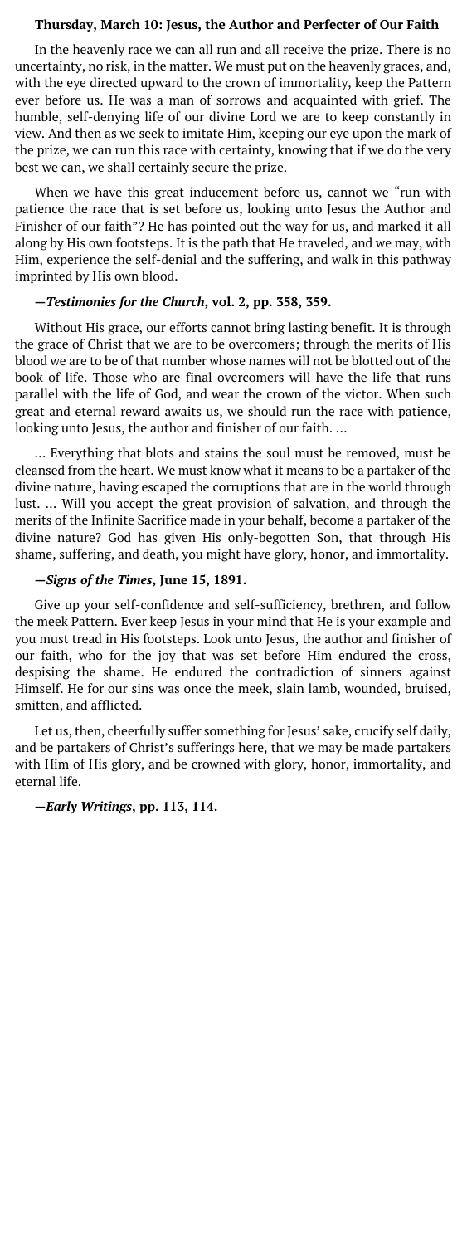#### **Thursday, March 10: Jesus, the Author and Perfecter of Our Faith**

In the heavenly race we can all run and all receive the prize. There is no uncertainty, no risk, in the matter. We must put on the heavenly graces, and, with the eye directed upward to the crown of immortality, keep the Pattern ever before us. He was a man of sorrows and acquainted with grief. The humble, self-denying life of our divine Lord we are to keep constantly in view. And then as we seek to imitate Him, keeping our eye upon the mark of the prize, we can run this race with certainty, knowing that if we do the very best we can, we shall certainly secure the prize.

When we have this great inducement before us, cannot we "run with patience the race that is set before us, looking unto Jesus the Author and Finisher of our faith"? He has pointed out the way for us, and marked it all along by His own footsteps. It is the path that He traveled, and we may, with Him, experience the self-denial and the suffering, and walk in this pathway imprinted by His own blood.

#### **—***Testimonies for the Church***, vol. 2, pp. 358, 359.**

Without His grace, our efforts cannot bring lasting benefit. It is through the grace of Christ that we are to be overcomers; through the merits of His blood we are to be of that number whose names will not be blotted out of the book of life. Those who are final overcomers will have the life that runs parallel with the life of God, and wear the crown of the victor. When such great and eternal reward awaits us, we should run the race with patience, looking unto Jesus, the author and finisher of our faith. …

… Everything that blots and stains the soul must be removed, must be cleansed from the heart. We must know what it means to be a partaker of the divine nature, having escaped the corruptions that are in the world through lust. … Will you accept the great provision of salvation, and through the merits of the Infinite Sacrifice made in your behalf, become a partaker of the divine nature? God has given His only-begotten Son, that through His shame, suffering, and death, you might have glory, honor, and immortality.

#### **—***Signs of the Times***, June 15, 1891.**

Give up your self-confidence and self-sufficiency, brethren, and follow the meek Pattern. Ever keep Jesus in your mind that He is your example and you must tread in His footsteps. Look unto Jesus, the author and finisher of our faith, who for the joy that was set before Him endured the cross, despising the shame. He endured the contradiction of sinners against Himself. He for our sins was once the meek, slain lamb, wounded, bruised, smitten, and afflicted.

Let us, then, cheerfully suffer something for Jesus' sake, crucify self daily, and be partakers of Christ's sufferings here, that we may be made partakers with Him of His glory, and be crowned with glory, honor, immortality, and eternal life.

**—***Early Writings***, pp. 113, 114.**